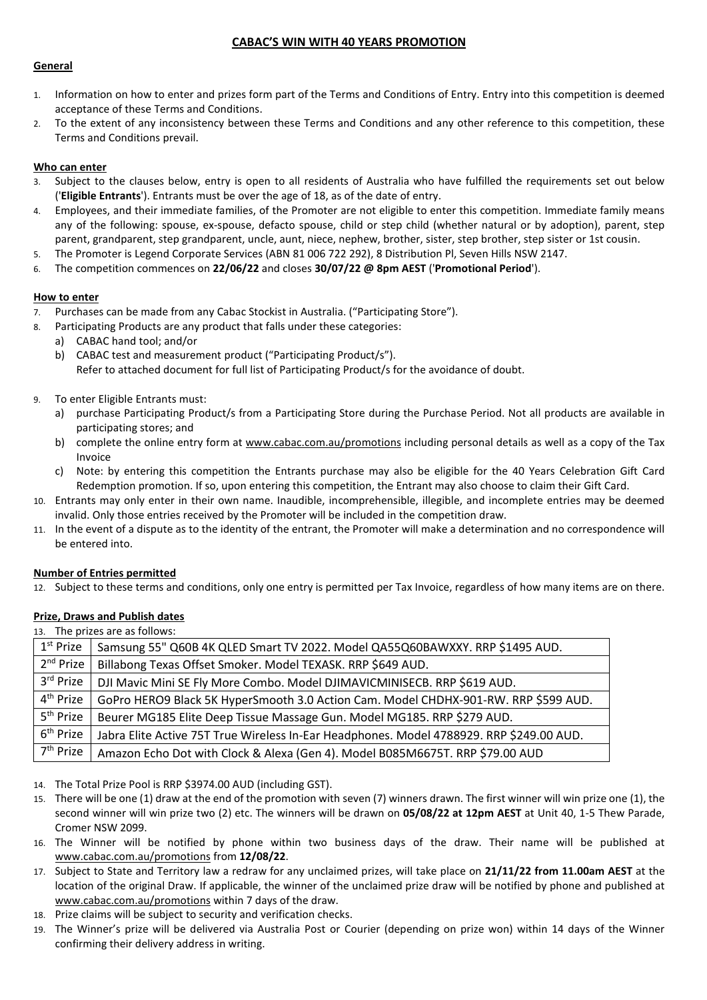# **CABAC'S WIN WITH 40 YEARS PROMOTION**

### **General**

- 1. Information on how to enter and prizes form part of the Terms and Conditions of Entry. Entry into this competition is deemed acceptance of these Terms and Conditions.
- 2. To the extent of any inconsistency between these Terms and Conditions and any other reference to this competition, these Terms and Conditions prevail.

### **Who can enter**

- 3. Subject to the clauses below, entry is open to all residents of Australia who have fulfilled the requirements set out below ('**Eligible Entrants**'). Entrants must be over the age of 18, as of the date of entry.
- 4. Employees, and their immediate families, of the Promoter are not eligible to enter this competition. Immediate family means any of the following: spouse, ex-spouse, defacto spouse, child or step child (whether natural or by adoption), parent, step parent, grandparent, step grandparent, uncle, aunt, niece, nephew, brother, sister, step brother, step sister or 1st cousin.
- 5. The Promoter is Legend Corporate Services (ABN 81 006 722 292), 8 Distribution Pl, Seven Hills NSW 2147.
- 6. The competition commences on **22/06/22** and closes **30/07/22 @ 8pm AEST** ('**Promotional Period**').

### **How to enter**

- 7. Purchases can be made from any Cabac Stockist in Australia. ("Participating Store").
- 8. Participating Products are any product that falls under these categories:
	- a) CABAC hand tool; and/or
	- b) CABAC test and measurement product ("Participating Product/s"). Refer to attached document for full list of Participating Product/s for the avoidance of doubt.
- 9. To enter Eligible Entrants must:
	- a) purchase Participating Product/s from a Participating Store during the Purchase Period. Not all products are available in participating stores; and
	- b) complete the online entry form at [www.cabac.com.au/promotions](http://www.cabac.com.au/promotions) including personal details as well as a copy of the Tax Invoice
	- c) Note: by entering this competition the Entrants purchase may also be eligible for the 40 Years Celebration Gift Card Redemption promotion. If so, upon entering this competition, the Entrant may also choose to claim their Gift Card.
- 10. Entrants may only enter in their own name. Inaudible, incomprehensible, illegible, and incomplete entries may be deemed invalid. Only those entries received by the Promoter will be included in the competition draw.
- 11. In the event of a dispute as to the identity of the entrant, the Promoter will make a determination and no correspondence will be entered into.

### **Number of Entries permitted**

12. Subject to these terms and conditions, only one entry is permitted per Tax Invoice, regardless of how many items are on there.

# **Prize, Draws and Publish dates**

13. The prizes are as follows:

| $1st$ Prize           | Samsung 55" Q60B 4K QLED Smart TV 2022. Model QA55Q60BAWXXY. RRP \$1495 AUD.             |
|-----------------------|------------------------------------------------------------------------------------------|
| 2 <sup>nd</sup> Prize | Billabong Texas Offset Smoker. Model TEXASK. RRP \$649 AUD.                              |
| 3rd Prize             | DJI Mavic Mini SE Fly More Combo. Model DJIMAVICMINISECB. RRP \$619 AUD.                 |
| 4 <sup>th</sup> Prize | GoPro HERO9 Black 5K HyperSmooth 3.0 Action Cam. Model CHDHX-901-RW. RRP \$599 AUD.      |
| 5 <sup>th</sup> Prize | Beurer MG185 Elite Deep Tissue Massage Gun. Model MG185. RRP \$279 AUD.                  |
| 6 <sup>th</sup> Prize | Jabra Elite Active 75T True Wireless In-Ear Headphones. Model 4788929. RRP \$249.00 AUD. |
| 7 <sup>th</sup> Prize | Amazon Echo Dot with Clock & Alexa (Gen 4). Model B085M6675T. RRP \$79.00 AUD            |

- 14. The Total Prize Pool is RRP \$3974.00 AUD (including GST).
- 15. There will be one (1) draw at the end of the promotion with seven (7) winners drawn. The first winner will win prize one (1), the second winner will win prize two (2) etc. The winners will be drawn on **05/08/22 at 12pm AEST** at Unit 40, 1-5 Thew Parade, Cromer NSW 2099.
- 16. The Winner will be notified by phone within two business days of the draw. Their name will be published at [www.cabac.com.au/promotions](http://www.cabac.com.au/promotions) from **12/08/22**.
- 17. Subject to State and Territory law a redraw for any unclaimed prizes, will take place on **21/11/22 from 11.00am AEST** at the location of the original Draw. If applicable, the winner of the unclaimed prize draw will be notified by phone and published at [www.cabac.com.au/promotions](http://www.cabac.com.au/promotions) within 7 days of the draw.
- 18. Prize claims will be subject to security and verification checks.
- 19. The Winner's prize will be delivered via Australia Post or Courier (depending on prize won) within 14 days of the Winner confirming their delivery address in writing.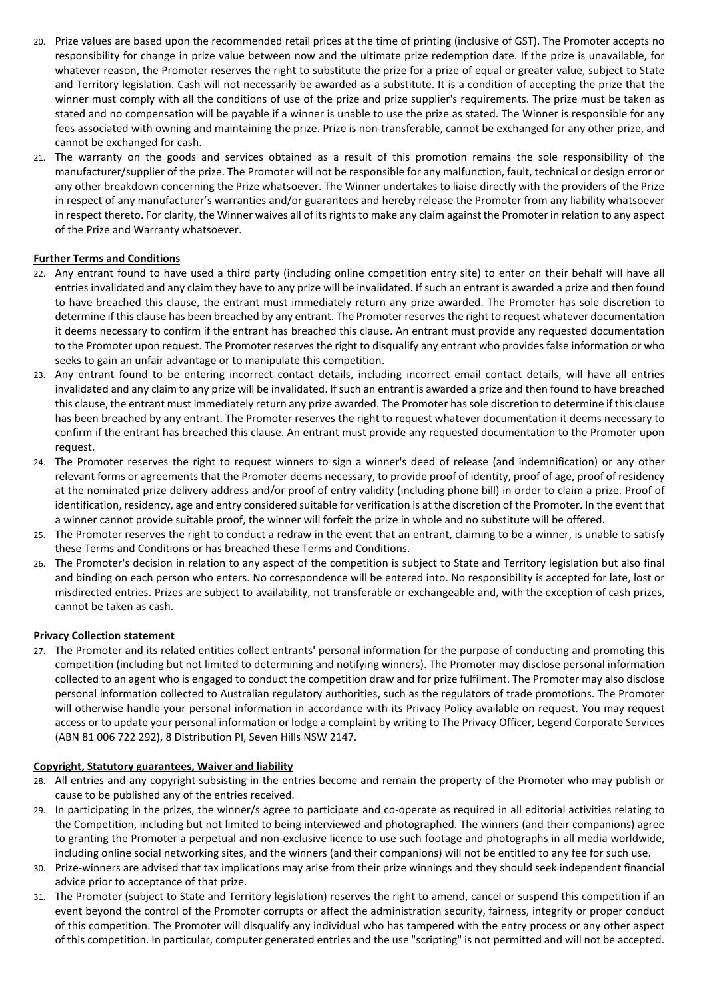- 20. Prize values are based upon the recommended retail prices at the time of printing (inclusive of GST). The Promoter accepts no responsibility for change in prize value between now and the ultimate prize redemption date. If the prize is unavailable, for whatever reason, the Promoter reserves the right to substitute the prize for a prize of equal or greater value, subject to State and Territory legislation. Cash will not necessarily be awarded as a substitute. It is a condition of accepting the prize that the winner must comply with all the conditions of use of the prize and prize supplier's requirements. The prize must be taken as stated and no compensation will be payable if a winner is unable to use the prize as stated. The Winner is responsible for any fees associated with owning and maintaining the prize. Prize is non-transferable, cannot be exchanged for any other prize, and cannot be exchanged for cash.
- 21. The warranty on the goods and services obtained as a result of this promotion remains the sole responsibility of the manufacturer/supplier of the prize. The Promoter will not be responsible for any malfunction, fault, technical or design error or any other breakdown concerning the Prize whatsoever. The Winner undertakes to liaise directly with the providers of the Prize in respect of any manufacturer's warranties and/or guarantees and hereby release the Promoter from any liability whatsoever in respect thereto. For clarity, the Winner waives all of its rights to make any claim against the Promoter in relation to any aspect of the Prize and Warranty whatsoever.

# **Further Terms and Conditions**

- 22. Any entrant found to have used a third party (including online competition entry site) to enter on their behalf will have all entries invalidated and any claim they have to any prize will be invalidated. If such an entrant is awarded a prize and then found to have breached this clause, the entrant must immediately return any prize awarded. The Promoter has sole discretion to determine if this clause has been breached by any entrant. The Promoter reserves the right to request whatever documentation it deems necessary to confirm if the entrant has breached this clause. An entrant must provide any requested documentation to the Promoter upon request. The Promoter reserves the right to disqualify any entrant who provides false information or who seeks to gain an unfair advantage or to manipulate this competition.
- 23. Any entrant found to be entering incorrect contact details, including incorrect email contact details, will have all entries invalidated and any claim to any prize will be invalidated. If such an entrant is awarded a prize and then found to have breached this clause, the entrant must immediately return any prize awarded. The Promoter has sole discretion to determine if this clause has been breached by any entrant. The Promoter reserves the right to request whatever documentation it deems necessary to confirm if the entrant has breached this clause. An entrant must provide any requested documentation to the Promoter upon request.
- 24. The Promoter reserves the right to request winners to sign a winner's deed of release (and indemnification) or any other relevant forms or agreements that the Promoter deems necessary, to provide proof of identity, proof of age, proof of residency at the nominated prize delivery address and/or proof of entry validity (including phone bill) in order to claim a prize. Proof of identification, residency, age and entry considered suitable for verification is at the discretion of the Promoter. In the event that a winner cannot provide suitable proof, the winner will forfeit the prize in whole and no substitute will be offered.
- 25. The Promoter reserves the right to conduct a redraw in the event that an entrant, claiming to be a winner, is unable to satisfy these Terms and Conditions or has breached these Terms and Conditions.
- 26. The Promoter's decision in relation to any aspect of the competition is subject to State and Territory legislation but also final and binding on each person who enters. No correspondence will be entered into. No responsibility is accepted for late, lost or misdirected entries. Prizes are subject to availability, not transferable or exchangeable and, with the exception of cash prizes, cannot be taken as cash.

### **Privacy Collection statement**

27. The Promoter and its related entities collect entrants' personal information for the purpose of conducting and promoting this competition (including but not limited to determining and notifying winners). The Promoter may disclose personal information collected to an agent who is engaged to conduct the competition draw and for prize fulfilment. The Promoter may also disclose personal information collected to Australian regulatory authorities, such as the regulators of trade promotions. The Promoter will otherwise handle your personal information in accordance with its Privacy Policy available on request. You may request access or to update your personal information or lodge a complaint by writing to The Privacy Officer, Legend Corporate Services (ABN 81 006 722 292), 8 Distribution Pl, Seven Hills NSW 2147.

#### **Copyright, Statutory guarantees, Waiver and liability**

- 28. All entries and any copyright subsisting in the entries become and remain the property of the Promoter who may publish or cause to be published any of the entries received.
- 29. In participating in the prizes, the winner/s agree to participate and co-operate as required in all editorial activities relating to the Competition, including but not limited to being interviewed and photographed. The winners (and their companions) agree to granting the Promoter a perpetual and non-exclusive licence to use such footage and photographs in all media worldwide, including online social networking sites, and the winners (and their companions) will not be entitled to any fee for such use.
- 30. Prize-winners are advised that tax implications may arise from their prize winnings and they should seek independent financial advice prior to acceptance of that prize.
- 31. The Promoter (subject to State and Territory legislation) reserves the right to amend, cancel or suspend this competition if an event beyond the control of the Promoter corrupts or affect the administration security, fairness, integrity or proper conduct of this competition. The Promoter will disqualify any individual who has tampered with the entry process or any other aspect of this competition. In particular, computer generated entries and the use "scripting" is not permitted and will not be accepted.